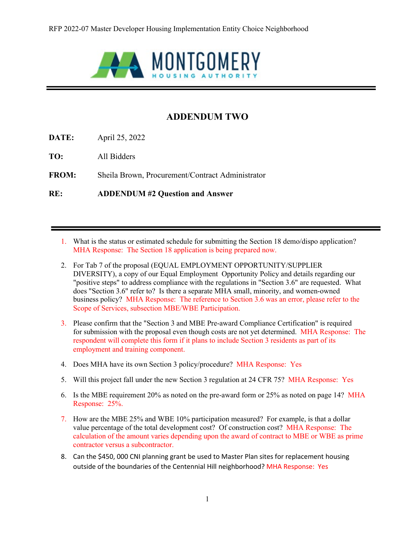

## **ADDENDUM TWO**

**DATE:** April 25, 2022

**TO:** All Bidders

**FROM:** Sheila Brown, Procurement/Contract Administrator

**RE: ADDENDUM #2 Question and Answer**

- 1. What is the status or estimated schedule for submitting the Section 18 demo/dispo application? MHA Response: The Section 18 application is being prepared now.
- 2. For Tab 7 of the proposal (EQUAL EMPLOYMENT OPPORTUNITY/SUPPLIER DIVERSITY), a copy of our Equal Employment Opportunity Policy and details regarding our "positive steps" to address compliance with the regulations in "Section 3.6" are requested. What does "Section 3.6" refer to? Is there a separate MHA small, minority, and women-owned business policy? MHA Response: The reference to Section 3.6 was an error, please refer to the Scope of Services, subsection MBE/WBE Participation.
- 3. Please confirm that the "Section 3 and MBE Pre-award Compliance Certification" is required for submission with the proposal even though costs are not yet determined. MHA Response: The respondent will complete this form if it plans to include Section 3 residents as part of its employment and training component.
- 4. Does MHA have its own Section 3 policy/procedure? MHA Response: Yes
- 5. Will this project fall under the new Section 3 regulation at 24 CFR 75? MHA Response: Yes
- 6. Is the MBE requirement 20% as noted on the pre-award form or 25% as noted on page 14? MHA Response: 25%.
- 7. How are the MBE 25% and WBE 10% participation measured? For example, is that a dollar value percentage of the total development cost? Of construction cost? MHA Response: The calculation of the amount varies depending upon the award of contract to MBE or WBE as prime contractor versus a subcontractor.
- 8. Can the \$450, 000 CNI planning grant be used to Master Plan sites for replacement housing outside of the boundaries of the Centennial Hill neighborhood? MHA Response: Yes